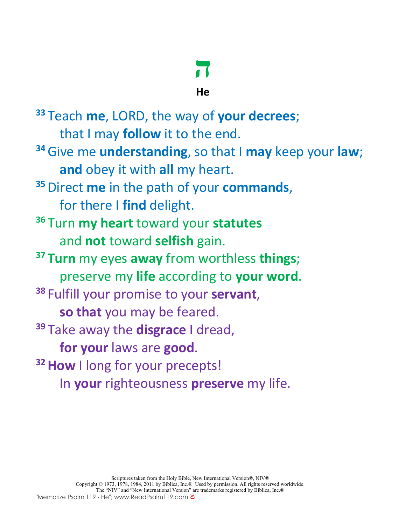# **ה**

## **He**

**<sup>33</sup>** Teach **me**, LORD, the way of **your decrees**; that I may **follow** it to the end. **<sup>34</sup>**Give me **understanding**, so that I **may** keep your **law**; **and** obey it with **all** my heart. **<sup>35</sup>**Direct **me** in the path of your **commands**, for there I **find** delight. **<sup>36</sup>** Turn **my heart** toward your **statutes**  and **not** toward **selfish** gain. **<sup>37</sup> Turn** my eyes **away** from worthless **things**; preserve my **life** according to **your word**. **<sup>38</sup>** Fulfill your promise to your **servant**, **so that** you may be feared. **<sup>39</sup>** Take away the **disgrace** I dread, **for your** laws are **good**. <sup>32</sup> How I long for your precepts! In **your** righteousness **preserve** my life.